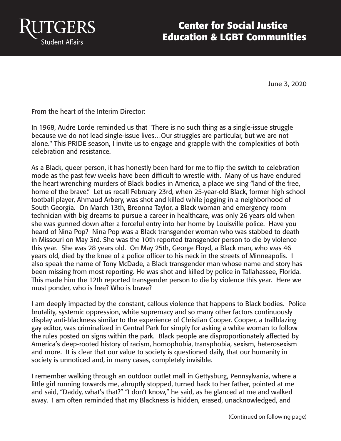

## **Center for Social Justice Education & LGBT Communities**

June 3, 2020

From the heart of the Interim Director:

In 1968, Audre Lorde reminded us that "There is no such thing as a single-issue struggle because we do not lead single-issue lives…Our struggles are particular, but we are not alone." This PRIDE season, I invite us to engage and grapple with the complexities of both celebration and resistance.

As a Black, queer person, it has honestly been hard for me to flip the switch to celebration mode as the past few weeks have been difficult to wrestle with. Many of us have endured the heart wrenching murders of Black bodies in America, a place we sing "land of the free, home of the brave." Let us recall February 23rd, when 25-year-old Black, former high school football player, Ahmaud Arbery, was shot and killed while jogging in a neighborhood of South Georgia. On March 13th, Breonna Taylor, a Black woman and emergency room technician with big dreams to pursue a career in healthcare, was only 26 years old when she was gunned down after a forceful entry into her home by Louisville police. Have you heard of Nina Pop? Nina Pop was a Black transgender woman who was stabbed to death in Missouri on May 3rd. She was the 10th reported transgender person to die by violence this year. She was 28 years old. On May 25th, George Floyd, a Black man, who was 46 years old, died by the knee of a police officer to his neck in the streets of Minneapolis. I also speak the name of Tony McDade, a Black transgender man whose name and story has been missing from most reporting. He was shot and killed by police in Tallahassee, Florida. This made him the 12th reported transgender person to die by violence this year. Here we must ponder, who is free? Who is brave?

I am deeply impacted by the constant, callous violence that happens to Black bodies. Police brutality, systemic oppression, white supremacy and so many other factors continuously display anti-blackness similar to the experience of Christian Cooper. Cooper, a trailblazing gay editor, was criminalized in Central Park for simply for asking a white woman to follow the rules posted on signs within the park. Black people are disproportionately affected by America's deep-rooted history of racism, homophobia, transphobia, sexism, heterosexism and more. It is clear that our value to society is questioned daily, that our humanity in society is unnoticed and, in many cases, completely invisible.

I remember walking through an outdoor outlet mall in Gettysburg, Pennsylvania, where a little girl running towards me, abruptly stopped, turned back to her father, pointed at me and said, "Daddy, what's that?" "I don't know," he said, as he glanced at me and walked away. I am often reminded that my Blackness is hidden, erased, unacknowledged, and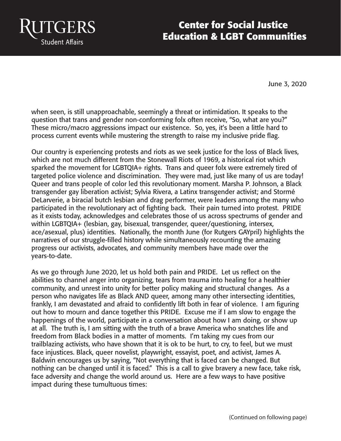

## **Center for Social Justice Education & LGBT Communities**

June 3, 2020

when seen, is still unapproachable, seemingly a threat or intimidation. It speaks to the question that trans and gender non-conforming folx often receive, "So, what are you?" These micro/macro aggressions impact our existence. So, yes, it's been a little hard to process current events while mustering the strength to raise my inclusive pride flag.

Our country is experiencing protests and riots as we seek justice for the loss of Black lives, which are not much different from the Stonewall Riots of 1969, a historical riot which sparked the movement for LGBTQIA+ rights. Trans and queer folx were extremely tired of targeted police violence and discrimination. They were mad, just like many of us are today! Queer and trans people of color led this revolutionary moment. Marsha P. Johnson, a Black transgender gay liberation activist; Sylvia Rivera, a Latinx transgender activist; and Stormé DeLarverie, a biracial butch lesbian and drag performer, were leaders among the many who participated in the revolutionary act of fighting back. Their pain turned into protest. PRIDE as it exists today, acknowledges and celebrates those of us across spectrums of gender and within LGBTQIA+ (lesbian, gay, bisexual, transgender, queer/questioning, intersex, ace/asexual, plus) identities. Nationally, the month June (for Rutgers GAYpril) highlights the narratives of our struggle-filled history while simultaneously recounting the amazing progress our activists, advocates, and community members have made over the years-to-date.

As we go through June 2020, let us hold both pain and PRIDE. Let us reflect on the abilities to channel anger into organizing, tears from trauma into healing for a healthier community, and unrest into unity for better policy making and structural changes. As a person who navigates life as Black AND queer, among many other intersecting identities, frankly, I am devastated and afraid to confidently lift both in fear of violence. I am figuring out how to mourn and dance together this PRIDE. Excuse me if I am slow to engage the happenings of the world, participate in a conversation about how I am doing, or show up at all. The truth is, I am sitting with the truth of a brave America who snatches life and freedom from Black bodies in a matter of moments. I'm taking my cues from our trailblazing activists, who have shown that it is ok to be hurt, to cry, to feel, but we must face injustices. Black, queer novelist, playwright, essayist, poet, and activist, James A. Baldwin encourages us by saying, "Not everything that is faced can be changed. But nothing can be changed until it is faced." This is a call to give bravery a new face, take risk, face adversity and change the world around us. Here are a few ways to have positive impact during these tumultuous times: